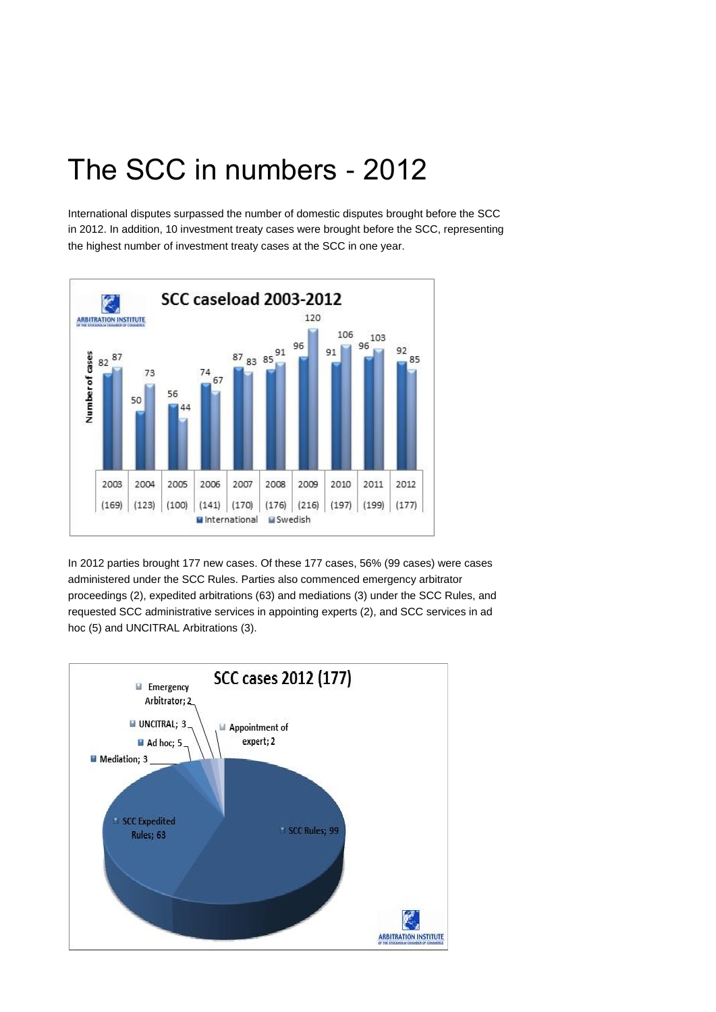## The SCC in numbers - 2012

International disputes surpassed the number of domestic disputes brought before the SCC in 2012. In addition, 10 investment treaty cases were brought before the SCC, representing the highest number of investment treaty cases at the SCC in one year.



In 2012 parties brought 177 new cases. Of these 177 cases, 56% (99 cases) were cases administered under the SCC Rules. Parties also commenced emergency arbitrator proceedings (2), expedited arbitrations (63) and mediations (3) under the SCC Rules, and requested SCC administrative services in appointing experts (2), and SCC services in ad hoc (5) and UNCITRAL Arbitrations (3).

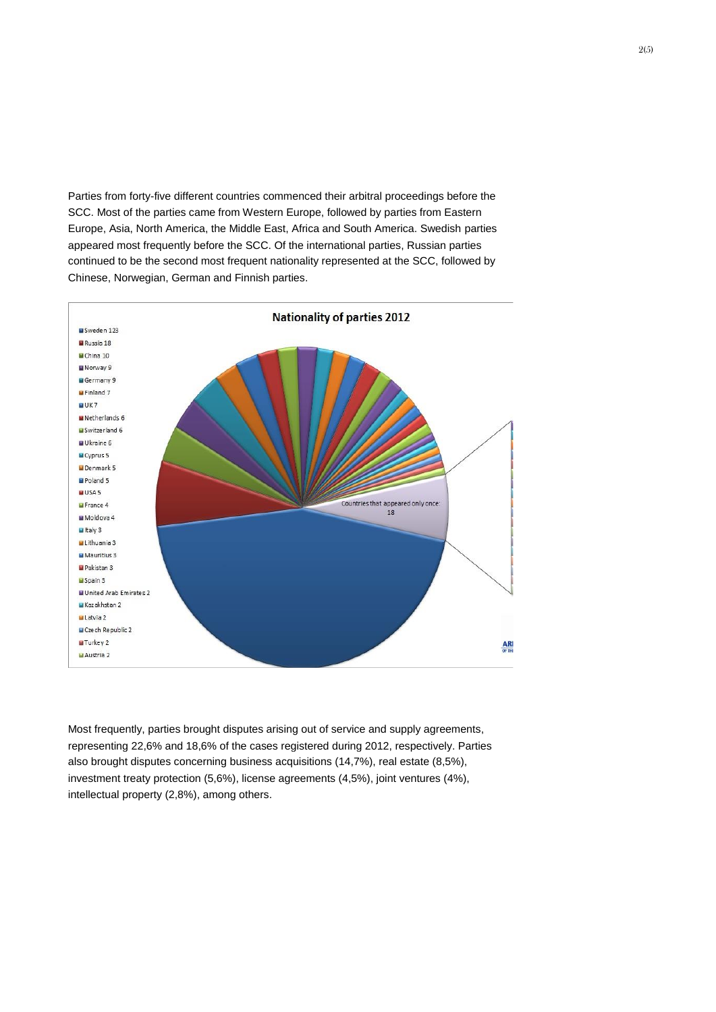Parties from forty-five different countries commenced their arbitral proceedings before the SCC. Most of the parties came from Western Europe, followed by parties from Eastern Europe, Asia, North America, the Middle East, Africa and South America. Swedish parties appeared most frequently before the SCC. Of the international parties, Russian parties continued to be the second most frequent nationality represented at the SCC, followed by Chinese, Norwegian, German and Finnish parties.



Most frequently, parties brought disputes arising out of service and supply agreements, representing 22,6% and 18,6% of the cases registered during 2012, respectively. Parties also brought disputes concerning business acquisitions (14,7%), real estate (8,5%), investment treaty protection (5,6%), license agreements (4,5%), joint ventures (4%), intellectual property (2,8%), among others.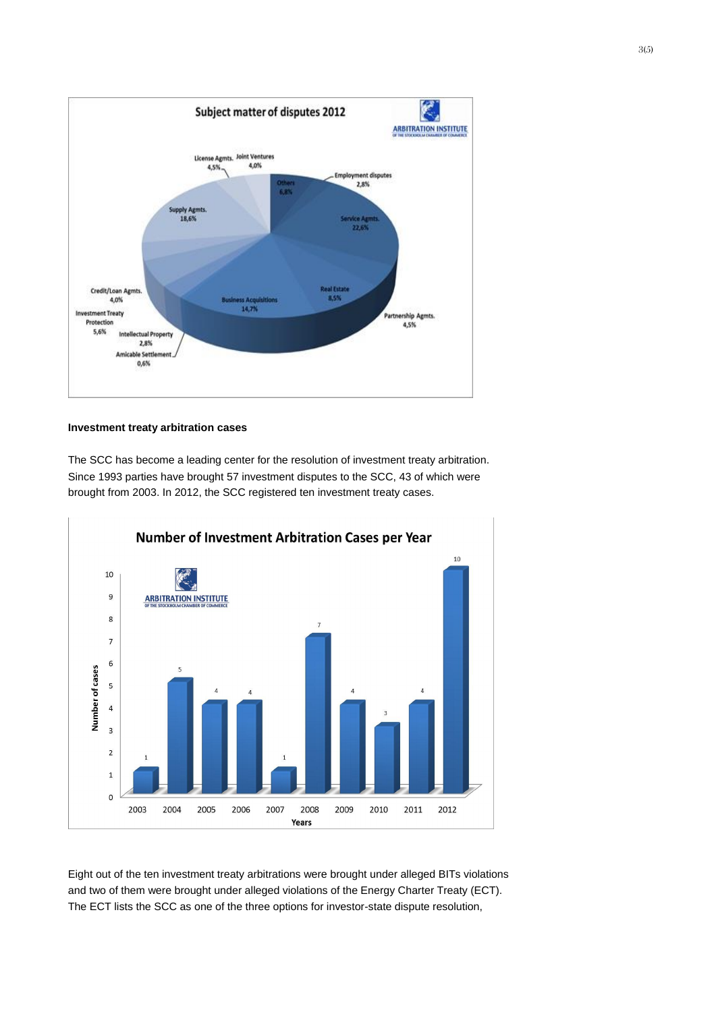

## **Investment treaty arbitration cases**

The SCC has become a leading center for the resolution of investment treaty arbitration. Since 1993 parties have brought 57 investment disputes to the SCC, 43 of which were brought from 2003. In 2012, the SCC registered ten investment treaty cases.



Eight out of the ten investment treaty arbitrations were brought under alleged BITs violations and two of them were brought under alleged violations of the Energy Charter Treaty (ECT). The ECT lists the SCC as one of the three options for investor-state dispute resolution,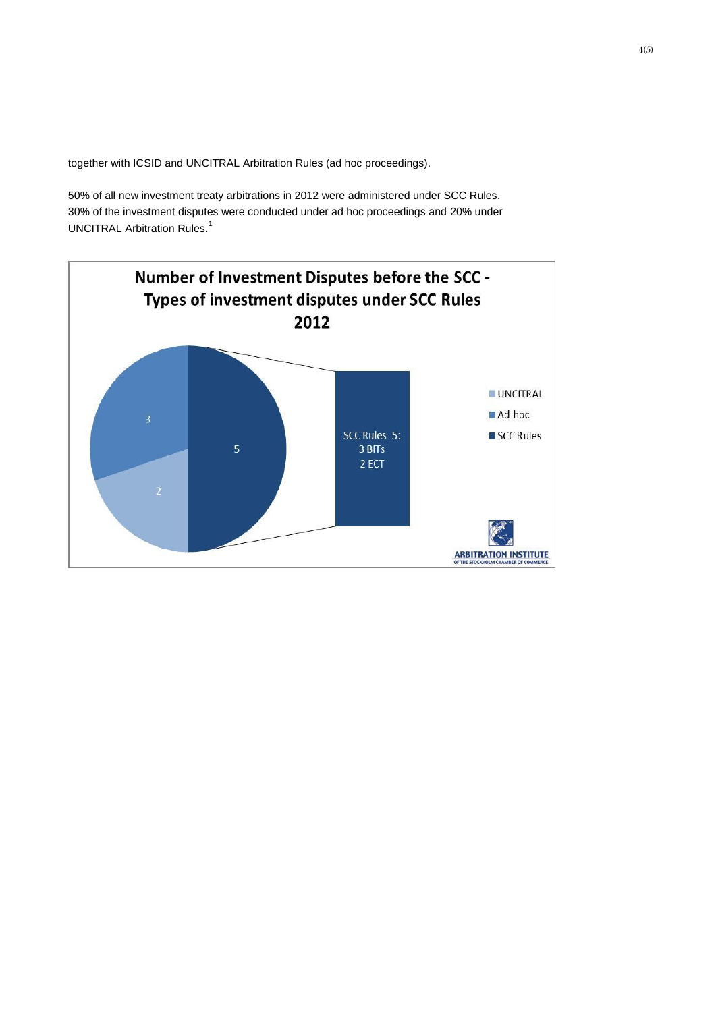together with ICSID and UNCITRAL Arbitration Rules (ad hoc proceedings).

50% of all new investment treaty arbitrations in 2012 were administered under SCC Rules. 30% of the investment disputes were conducted under ad hoc proceedings and 20% under UNCITRAL Arbitration Rules.<sup>1</sup>